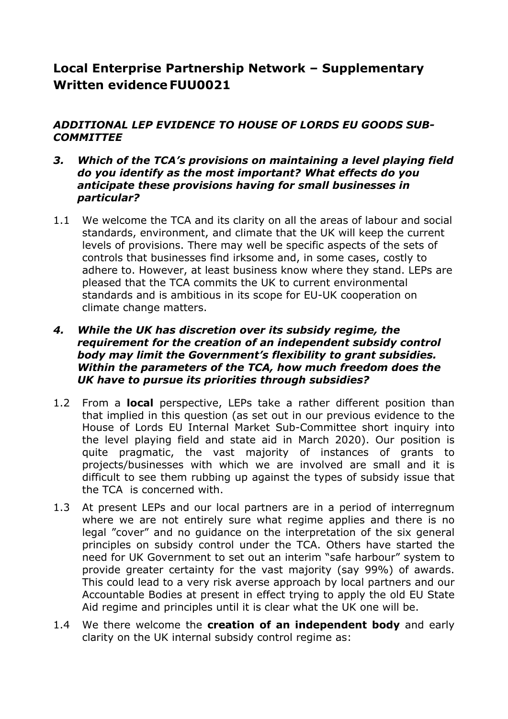# **Local Enterprise Partnership Network – Supplementary Written evidence FUU0021**

# *ADDITIONAL LEP EVIDENCE TO HOUSE OF LORDS EU GOODS SUB-COMMITTEE*

- *3. Which of the TCA's provisions on maintaining a level playing field do you identify as the most important? What effects do you anticipate these provisions having for small businesses in particular?*
- 1.1 We welcome the TCA and its clarity on all the areas of labour and social standards, environment, and climate that the UK will keep the current levels of provisions. There may well be specific aspects of the sets of controls that businesses find irksome and, in some cases, costly to adhere to. However, at least business know where they stand. LEPs are pleased that the TCA commits the UK to current environmental standards and is ambitious in its scope for EU-UK cooperation on climate change matters.

# *4. While the UK has discretion over its subsidy regime, the requirement for the creation of an independent subsidy control body may limit the Government's flexibility to grant subsidies. Within the parameters of the TCA, how much freedom does the UK have to pursue its priorities through subsidies?*

- 1.2 From a **local** perspective, LEPs take a rather different position than that implied in this question (as set out in our previous evidence to the House of Lords EU Internal Market Sub-Committee short inquiry into the level playing field and state aid in March 2020). Our position is quite pragmatic, the vast majority of instances of grants to projects/businesses with which we are involved are small and it is difficult to see them rubbing up against the types of subsidy issue that the TCA is concerned with.
- 1.3 At present LEPs and our local partners are in a period of interregnum where we are not entirely sure what regime applies and there is no legal "cover" and no guidance on the interpretation of the six general principles on subsidy control under the TCA. Others have started the need for UK Government to set out an interim "safe harbour" system to provide greater certainty for the vast majority (say 99%) of awards. This could lead to a very risk averse approach by local partners and our Accountable Bodies at present in effect trying to apply the old EU State Aid regime and principles until it is clear what the UK one will be.
- 1.4 We there welcome the **creation of an independent body** and early clarity on the UK internal subsidy control regime as: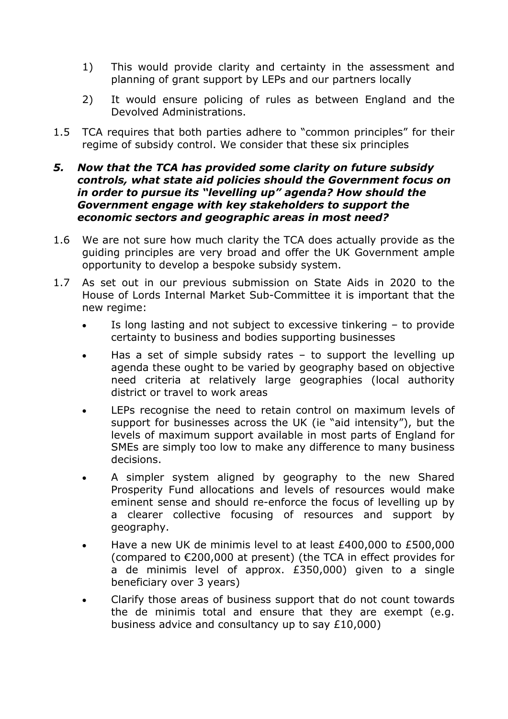- 1) This would provide clarity and certainty in the assessment and planning of grant support by LEPs and our partners locally
- 2) It would ensure policing of rules as between England and the Devolved Administrations.
- 1.5 TCA requires that both parties adhere to "common principles" for their regime of subsidy control. We consider that these six principles

# *5. Now that the TCA has provided some clarity on future subsidy controls, what state aid policies should the Government focus on in order to pursue its "levelling up" agenda? How should the Government engage with key stakeholders to support the economic sectors and geographic areas in most need?*

- 1.6 We are not sure how much clarity the TCA does actually provide as the guiding principles are very broad and offer the UK Government ample opportunity to develop a bespoke subsidy system.
- 1.7 As set out in our previous submission on State Aids in 2020 to the House of Lords Internal Market Sub-Committee it is important that the new regime:
	- Is long lasting and not subject to excessive tinkering to provide certainty to business and bodies supporting businesses
	- Has a set of simple subsidy rates to support the levelling up agenda these ought to be varied by geography based on objective need criteria at relatively large geographies (local authority district or travel to work areas
	- LEPs recognise the need to retain control on maximum levels of support for businesses across the UK (ie "aid intensity"), but the levels of maximum support available in most parts of England for SMEs are simply too low to make any difference to many business decisions.
	- A simpler system aligned by geography to the new Shared Prosperity Fund allocations and levels of resources would make eminent sense and should re-enforce the focus of levelling up by a clearer collective focusing of resources and support by geography.
	- Have a new UK de minimis level to at least £400,000 to £500,000 (compared to €200,000 at present) (the TCA in effect provides for a de minimis level of approx. £350,000) given to a single beneficiary over 3 years)
	- Clarify those areas of business support that do not count towards the de minimis total and ensure that they are exempt (e.g. business advice and consultancy up to say £10,000)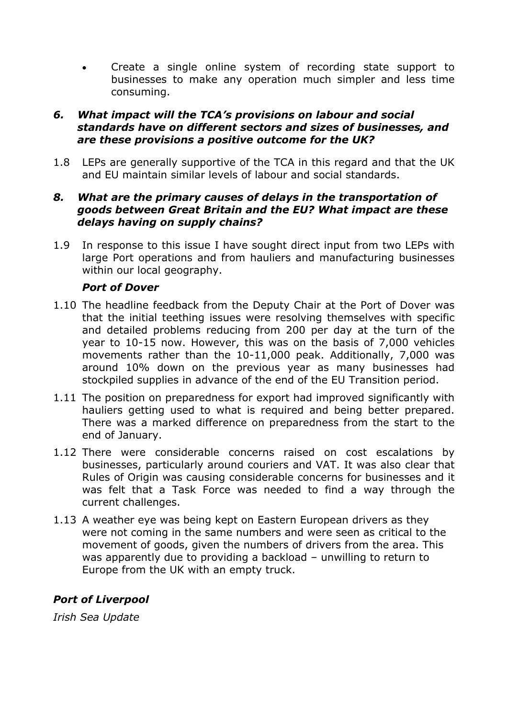Create a single online system of recording state support to businesses to make any operation much simpler and less time consuming.

# *6. What impact will the TCA's provisions on labour and social standards have on different sectors and sizes of businesses, and are these provisions a positive outcome for the UK?*

1.8 LEPs are generally supportive of the TCA in this regard and that the UK and EU maintain similar levels of labour and social standards.

# *8. What are the primary causes of delays in the transportation of goods between Great Britain and the EU? What impact are these delays having on supply chains?*

1.9 In response to this issue I have sought direct input from two LEPs with large Port operations and from hauliers and manufacturing businesses within our local geography.

# *Port of Dover*

- 1.10 The headline feedback from the Deputy Chair at the Port of Dover was that the initial teething issues were resolving themselves with specific and detailed problems reducing from 200 per day at the turn of the year to 10-15 now. However, this was on the basis of 7,000 vehicles movements rather than the 10-11,000 peak. Additionally, 7,000 was around 10% down on the previous year as many businesses had stockpiled supplies in advance of the end of the EU Transition period.
- 1.11 The position on preparedness for export had improved significantly with hauliers getting used to what is required and being better prepared. There was a marked difference on preparedness from the start to the end of January.
- 1.12 There were considerable concerns raised on cost escalations by businesses, particularly around couriers and VAT. It was also clear that Rules of Origin was causing considerable concerns for businesses and it was felt that a Task Force was needed to find a way through the current challenges.
- 1.13 A weather eye was being kept on Eastern European drivers as they were not coming in the same numbers and were seen as critical to the movement of goods, given the numbers of drivers from the area. This was apparently due to providing a backload – unwilling to return to Europe from the UK with an empty truck.

# *Port of Liverpool*

*Irish Sea Update*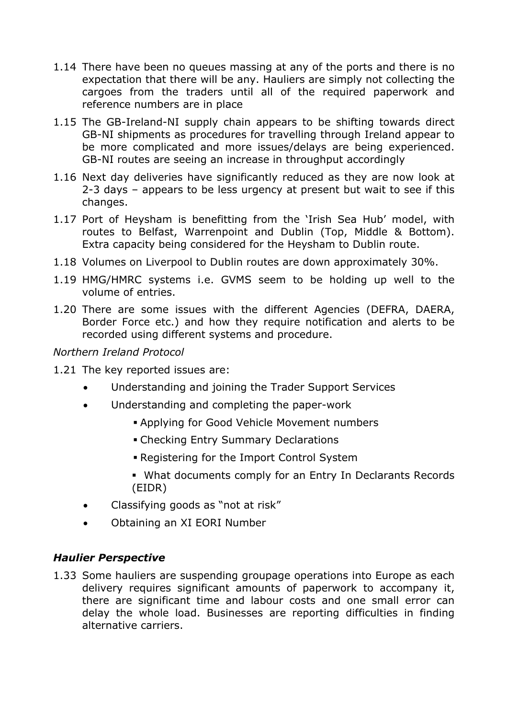- 1.14 There have been no queues massing at any of the ports and there is no expectation that there will be any. Hauliers are simply not collecting the cargoes from the traders until all of the required paperwork and reference numbers are in place
- 1.15 The GB-Ireland-NI supply chain appears to be shifting towards direct GB-NI shipments as procedures for travelling through Ireland appear to be more complicated and more issues/delays are being experienced. GB-NI routes are seeing an increase in throughput accordingly
- 1.16 Next day deliveries have significantly reduced as they are now look at 2-3 days – appears to be less urgency at present but wait to see if this changes.
- 1.17 Port of Heysham is benefitting from the 'Irish Sea Hub' model, with routes to Belfast, Warrenpoint and Dublin (Top, Middle & Bottom). Extra capacity being considered for the Heysham to Dublin route.
- 1.18 Volumes on Liverpool to Dublin routes are down approximately 30%.
- 1.19 HMG/HMRC systems i.e. GVMS seem to be holding up well to the volume of entries.
- 1.20 There are some issues with the different Agencies (DEFRA, DAERA, Border Force etc.) and how they require notification and alerts to be recorded using different systems and procedure.

# *Northern Ireland Protocol*

- 1.21 The key reported issues are:
	- Understanding and joining the Trader Support Services
	- Understanding and completing the paper-work
		- Applying for Good Vehicle Movement numbers
		- Checking Entry Summary Declarations
		- Registering for the Import Control System
		- What documents comply for an Entry In Declarants Records (EIDR)
	- Classifying goods as "not at risk"
	- Obtaining an XI EORI Number

# *Haulier Perspective*

1.33 Some hauliers are suspending groupage operations into Europe as each delivery requires significant amounts of paperwork to accompany it, there are significant time and labour costs and one small error can delay the whole load. Businesses are reporting difficulties in finding alternative carriers.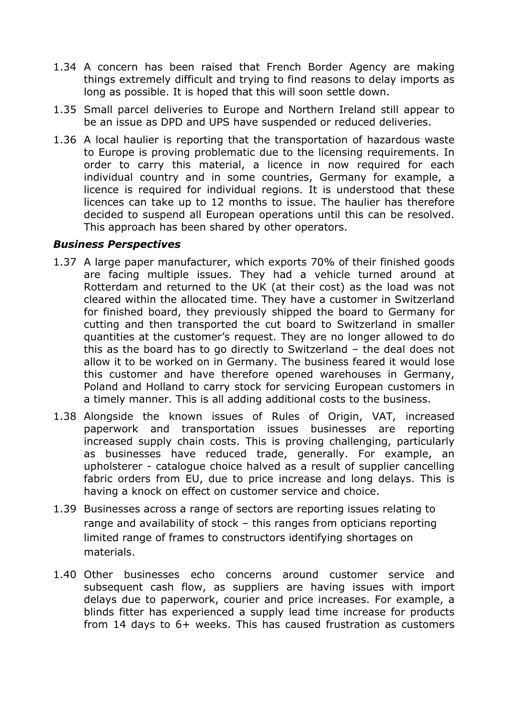- 1.34 A concern has been raised that French Border Agency are making things extremely difficult and trying to find reasons to delay imports as long as possible. It is hoped that this will soon settle down.
- 1.35 Small parcel deliveries to Europe and Northern Ireland still appear to be an issue as DPD and UPS have suspended or reduced deliveries.
- 1.36 A local haulier is reporting that the transportation of hazardous waste to Europe is proving problematic due to the licensing requirements. In order to carry this material, a licence in now required for each individual country and in some countries, Germany for example, a licence is required for individual regions. It is understood that these licences can take up to 12 months to issue. The haulier has therefore decided to suspend all European operations until this can be resolved. This approach has been shared by other operators.

# *Business Perspectives*

- 1.37 A large paper manufacturer, which exports 70% of their finished goods are facing multiple issues. They had a vehicle turned around at Rotterdam and returned to the UK (at their cost) as the load was not cleared within the allocated time. They have a customer in Switzerland for finished board, they previously shipped the board to Germany for cutting and then transported the cut board to Switzerland in smaller quantities at the customer's request. They are no longer allowed to do this as the board has to go directly to Switzerland – the deal does not allow it to be worked on in Germany. The business feared it would lose this customer and have therefore opened warehouses in Germany, Poland and Holland to carry stock for servicing European customers in a timely manner. This is all adding additional costs to the business.
- 1.38 Alongside the known issues of Rules of Origin, VAT, increased paperwork and transportation issues businesses are reporting increased supply chain costs. This is proving challenging, particularly as businesses have reduced trade, generally. For example, an upholsterer - catalogue choice halved as a result of supplier cancelling fabric orders from EU, due to price increase and long delays. This is having a knock on effect on customer service and choice.
- 1.39 Businesses across a range of sectors are reporting issues relating to range and availability of stock – this ranges from opticians reporting limited range of frames to constructors identifying shortages on materials.
- 1.40 Other businesses echo concerns around customer service and subsequent cash flow, as suppliers are having issues with import delays due to paperwork, courier and price increases. For example, a blinds fitter has experienced a supply lead time increase for products from 14 days to 6+ weeks. This has caused frustration as customers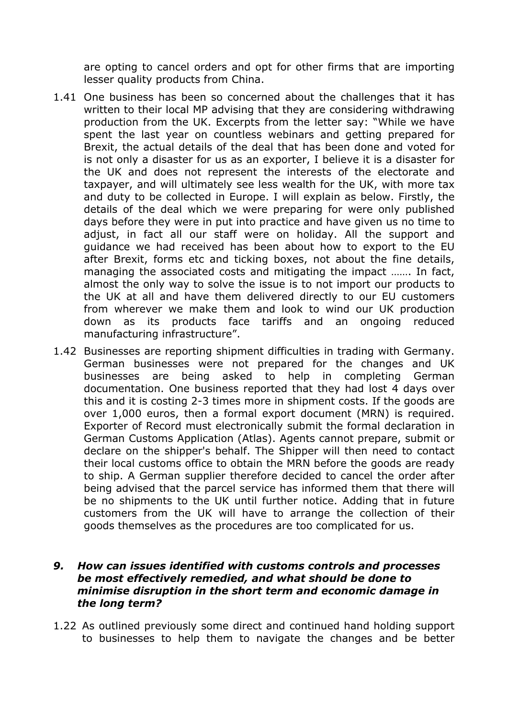are opting to cancel orders and opt for other firms that are importing lesser quality products from China.

- 1.41 One business has been so concerned about the challenges that it has written to their local MP advising that they are considering withdrawing production from the UK. Excerpts from the letter say: "While we have spent the last year on countless webinars and getting prepared for Brexit, the actual details of the deal that has been done and voted for is not only a disaster for us as an exporter, I believe it is a disaster for the UK and does not represent the interests of the electorate and taxpayer, and will ultimately see less wealth for the UK, with more tax and duty to be collected in Europe. I will explain as below. Firstly, the details of the deal which we were preparing for were only published days before they were in put into practice and have given us no time to adjust, in fact all our staff were on holiday. All the support and guidance we had received has been about how to export to the EU after Brexit, forms etc and ticking boxes, not about the fine details, managing the associated costs and mitigating the impact ……. In fact, almost the only way to solve the issue is to not import our products to the UK at all and have them delivered directly to our EU customers from wherever we make them and look to wind our UK production down as its products face tariffs and an ongoing reduced manufacturing infrastructure".
- 1.42 Businesses are reporting shipment difficulties in trading with Germany. German businesses were not prepared for the changes and UK businesses are being asked to help in completing German documentation. One business reported that they had lost 4 days over this and it is costing 2-3 times more in shipment costs. If the goods are over 1,000 euros, then a formal export document (MRN) is required. Exporter of Record must electronically submit the formal declaration in German Customs Application (Atlas). Agents cannot prepare, submit or declare on the shipper's behalf. The Shipper will then need to contact their local customs office to obtain the MRN before the goods are ready to ship. A German supplier therefore decided to cancel the order after being advised that the parcel service has informed them that there will be no shipments to the UK until further notice. Adding that in future customers from the UK will have to arrange the collection of their goods themselves as the procedures are too complicated for us.

#### *9. How can issues identified with customs controls and processes be most effectively remedied, and what should be done to minimise disruption in the short term and economic damage in the long term?*

1.22 As outlined previously some direct and continued hand holding support to businesses to help them to navigate the changes and be better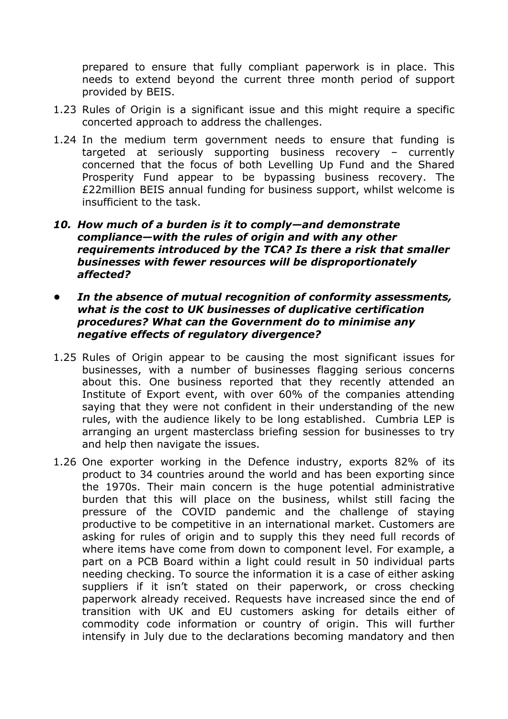prepared to ensure that fully compliant paperwork is in place. This needs to extend beyond the current three month period of support provided by BEIS.

- 1.23 Rules of Origin is a significant issue and this might require a specific concerted approach to address the challenges.
- 1.24 In the medium term government needs to ensure that funding is targeted at seriously supporting business recovery – currently concerned that the focus of both Levelling Up Fund and the Shared Prosperity Fund appear to be bypassing business recovery. The £22million BEIS annual funding for business support, whilst welcome is insufficient to the task.
- *10. How much of a burden is it to comply—and demonstrate compliance—with the rules of origin and with any other requirements introduced by the TCA? Is there a risk that smaller businesses with fewer resources will be disproportionately affected?*
- *• In the absence of mutual recognition of conformity assessments, what is the cost to UK businesses of duplicative certification procedures? What can the Government do to minimise any negative effects of regulatory divergence?*
- 1.25 Rules of Origin appear to be causing the most significant issues for businesses, with a number of businesses flagging serious concerns about this. One business reported that they recently attended an Institute of Export event, with over 60% of the companies attending saying that they were not confident in their understanding of the new rules, with the audience likely to be long established. Cumbria LEP is arranging an urgent masterclass briefing session for businesses to try and help then navigate the issues.
- 1.26 One exporter working in the Defence industry, exports 82% of its product to 34 countries around the world and has been exporting since the 1970s. Their main concern is the huge potential administrative burden that this will place on the business, whilst still facing the pressure of the COVID pandemic and the challenge of staying productive to be competitive in an international market. Customers are asking for rules of origin and to supply this they need full records of where items have come from down to component level. For example, a part on a PCB Board within a light could result in 50 individual parts needing checking. To source the information it is a case of either asking suppliers if it isn't stated on their paperwork, or cross checking paperwork already received. Requests have increased since the end of transition with UK and EU customers asking for details either of commodity code information or country of origin. This will further intensify in July due to the declarations becoming mandatory and then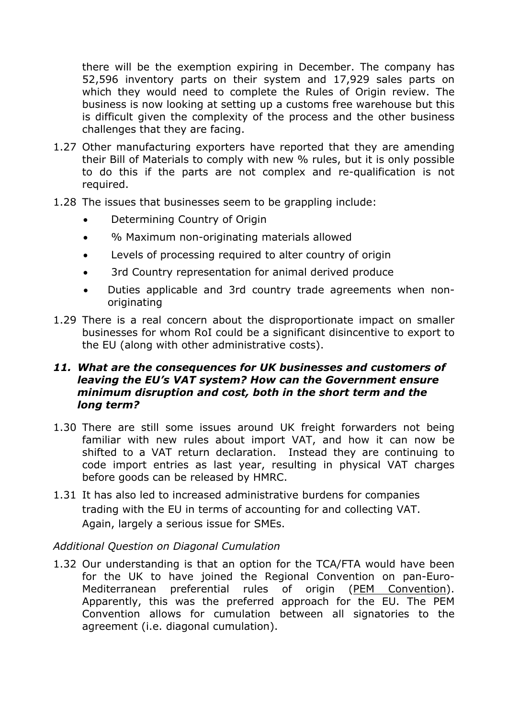there will be the exemption expiring in December. The company has 52,596 inventory parts on their system and 17,929 sales parts on which they would need to complete the Rules of Origin review. The business is now looking at setting up a customs free warehouse but this is difficult given the complexity of the process and the other business challenges that they are facing.

- 1.27 Other manufacturing exporters have reported that they are amending their Bill of Materials to comply with new % rules, but it is only possible to do this if the parts are not complex and re-qualification is not required.
- 1.28 The issues that businesses seem to be grappling include:
	- Determining Country of Origin
	- % Maximum non-originating materials allowed
	- Levels of processing required to alter country of origin
	- 3rd Country representation for animal derived produce
	- Duties applicable and 3rd country trade agreements when nonoriginating
- 1.29 There is a real concern about the disproportionate impact on smaller businesses for whom RoI could be a significant disincentive to export to the EU (along with other administrative costs).

# *11. What are the consequences for UK businesses and customers of leaving the EU's VAT system? How can the Government ensure minimum disruption and cost, both in the short term and the long term?*

- 1.30 There are still some issues around UK freight forwarders not being familiar with new rules about import VAT, and how it can now be shifted to a VAT return declaration. Instead they are continuing to code import entries as last year, resulting in physical VAT charges before goods can be released by HMRC.
- 1.31 It has also led to increased administrative burdens for companies trading with the EU in terms of accounting for and collecting VAT. Again, largely a serious issue for SMEs.

# *Additional Question on Diagonal Cumulation*

1.32 Our understanding is that an option for the TCA/FTA would have been for the UK to have joined the Regional Convention on pan-Euro-Mediterranean preferential rules of origin [\(PEM](https://ec.europa.eu/taxation_customs/business/calculation-customs-duties/rules-origin/general-aspects-preferential-origin/arrangements-list/paneuromediterranean-cumulation-pem-convention_en) [Convention](https://ec.europa.eu/taxation_customs/business/calculation-customs-duties/rules-origin/general-aspects-preferential-origin/arrangements-list/paneuromediterranean-cumulation-pem-convention_en)). Apparently, this was the preferred approach for the EU. The PEM Convention allows for cumulation between all signatories to the agreement (i.e. diagonal cumulation).